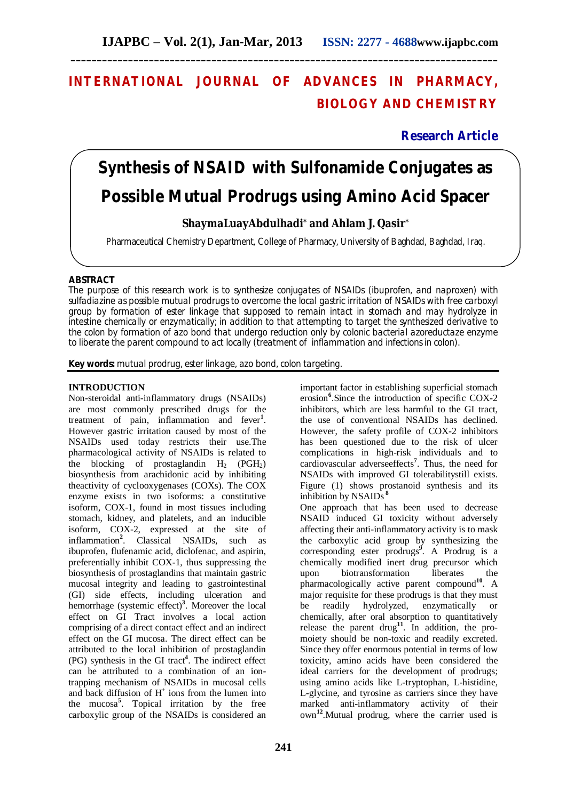## **INTERNATIONAL JOURNAL OF ADVANCES IN PHARMACY, BIOLOGY AND CHEMISTRY**

**\_\_\_\_\_\_\_\_\_\_\_\_\_\_\_\_\_\_\_\_\_\_\_\_\_\_\_\_\_\_\_\_\_\_\_\_\_\_\_\_\_\_\_\_\_\_\_\_\_\_\_\_\_\_\_\_\_\_\_\_\_\_\_\_\_\_\_\_\_\_\_\_\_\_\_\_\_\_\_\_\_\_**

**Research Article**

# **Synthesis of NSAID with Sulfonamide Conjugates as Possible Mutual Prodrugs using Amino Acid Spacer**

## Ï **ShaymaLuayAbdulhadi\* and Ahlam J. Qasir\***

Pharmaceutical Chemistry Department, College of Pharmacy, University of Baghdad, Baghdad, Iraq.

## **ABSTRACT**

The purpose of this research work is to synthesize conjugates of NSAIDs (ibuprofen, and naproxen) with sulfadiazine as possible mutual prodrugs to overcome the local gastric irritation of NSAIDs with free carboxyl group by formation of ester linkage that supposed to remain intact in stomach and may hydrolyze in intestine chemically or enzymatically; in addition to that attempting to target the synthesized derivative to the colon by formation of azo bond that undergo reduction only by colonic bacterial azoreductaze enzyme to liberate the parent compound to act locally (treatment of inflammation and infections in colon).

**Key words:** mutual prodrug, ester linkage, azo bond, colon targeting.

## **INTRODUCTION**

Non-steroidal anti-inflammatory drugs (NSAIDs) are most commonly prescribed drugs for the treatment of pain, inflammation and fever**<sup>1</sup>** . However gastric irritation caused by most of the NSAIDs used today restricts their use.The pharmacological activity of NSAIDs is related to the blocking of prostaglandin  $H_2$  (PGH<sub>2</sub>) biosynthesis from arachidonic acid by inhibiting theactivity of cyclooxygenases (COXs). The COX enzyme exists in two isoforms: a constitutive isoform, COX-1, found in most tissues including stomach, kidney, and platelets, and an inducible isoform, COX-2, expressed at the site of inflammation**<sup>2</sup>** . Classical NSAIDs, such as ibuprofen, flufenamic acid, diclofenac, and aspirin, preferentially inhibit COX-1, thus suppressing the biosynthesis of prostaglandins that maintain gastric mucosal integrity and leading to gastrointestinal (GI) side effects, including ulceration and hemorrhage (systemic effect)**<sup>3</sup>** . Moreover the local effect on GI Tract involves a local action comprising of a direct contact effect and an indirect effect on the GI mucosa. The direct effect can be attributed to the local inhibition of prostaglandin (PG) synthesis in the GI tract**<sup>4</sup>** . The indirect effect can be attributed to a combination of an iontrapping mechanism of NSAIDs in mucosal cells and back diffusion of  $H^+$  ions from the lumen into the mucosa**<sup>5</sup>** . Topical irritation by the free carboxylic group of the NSAIDs is considered an

important factor in establishing superficial stomach erosion**<sup>6</sup>** .Since the introduction of specific COX-2 inhibitors, which are less harmful to the GI tract, the use of conventional NSAIDs has declined. However, the safety profile of COX-2 inhibitors has been questioned due to the risk of ulcer complications in high-risk individuals and to cardiovascular adverseeffects**<sup>7</sup>** . Thus, the need for NSAIDs with improved GI tolerabilitystill exists. Figure (1) shows prostanoid synthesis and its inhibition by NSAIDs **<sup>8</sup>**

One approach that has been used to decrease NSAID induced GI toxicity without adversely affecting their anti-inflammatory activity is to mask the carboxylic acid group by synthesizing the corresponding ester prodrugs**<sup>9</sup>** . A Prodrug is a chemically modified inert drug precursor which upon biotransformation liberates the pharmacologically active parent compound**<sup>10</sup>** . A major requisite for these prodrugs is that they must be readily hydrolyzed, enzymatically or chemically, after oral absorption to quantitatively release the parent drug**<sup>11</sup>** . In addition, the promoiety should be non-toxic and readily excreted. Since they offer enormous potential in terms of low toxicity, amino acids have been considered the ideal carriers for the development of prodrugs; using amino acids like L-tryptophan, L-histidine, L-glycine, and tyrosine as carriers since they have marked anti-inflammatory activity of their own**<sup>12</sup>** .Mutual prodrug, where the carrier used is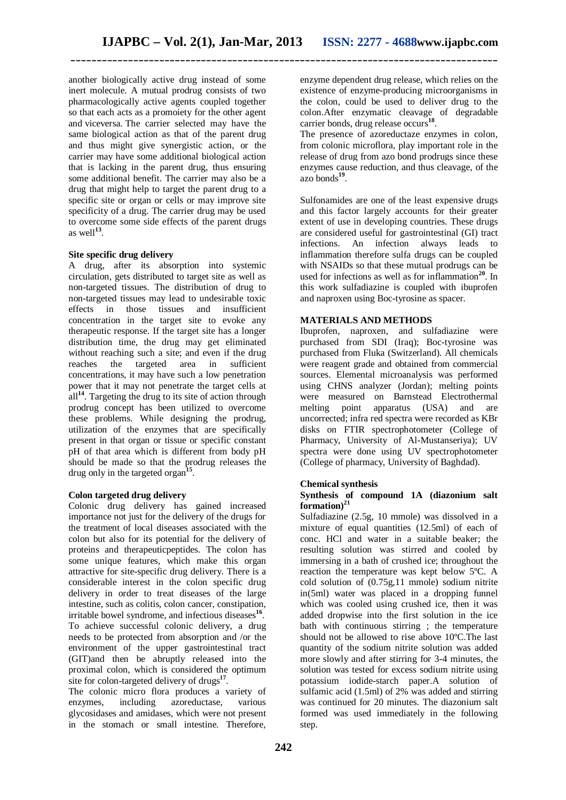another biologically active drug instead of some inert molecule. A mutual prodrug consists of two pharmacologically active agents coupled together so that each acts as a promoiety for the other agent and viceversa*.* The carrier selected may have the same biological action as that of the parent drug and thus might give synergistic action, or the carrier may have some additional biological action that is lacking in the parent drug, thus ensuring some additional benefit. The carrier may also be a drug that might help to target the parent drug to a specific site or organ or cells or may improve site specificity of a drug. The carrier drug may be used to overcome some side effects of the parent drugs as well**<sup>13</sup>** .

## **Site specific drug delivery**

A drug, after its absorption into systemic circulation, gets distributed to target site as well as non-targeted tissues. The distribution of drug to non-targeted tissues may lead to undesirable toxic effects in those tissues and insufficient concentration in the target site to evoke any therapeutic response. If the target site has a longer distribution time, the drug may get eliminated without reaching such a site; and even if the drug reaches the targeted area in sufficient concentrations, it may have such a low penetration power that it may not penetrate the target cells at all<sup>14</sup>. Targeting the drug to its site of action through prodrug concept has been utilized to overcome these problems. While designing the prodrug, utilization of the enzymes that are specifically present in that organ or tissue or specific constant pH of that area which is different from body pH should be made so that the prodrug releases the drug only in the targeted organ**<sup>15</sup>** .

## **Colon targeted drug delivery**

Colonic drug delivery has gained increased importance not just for the delivery of the drugs for the treatment of local diseases associated with the colon but also for its potential for the delivery of proteins and therapeuticpeptides. The colon has some unique features, which make this organ attractive for site-specific drug delivery. There is a considerable interest in the colon specific drug delivery in order to treat diseases of the large intestine, such as colitis, colon cancer, constipation, irritable bowel syndrome, and infectious diseases**<sup>16</sup>** . To achieve successful colonic delivery, a drug needs to be protected from absorption and /or the environment of the upper gastrointestinal tract (GIT)and then be abruptly released into the proximal colon, which is considered the optimum site for colon-targeted delivery of drugs**<sup>17</sup>** .

The colonic micro flora produces a variety of enzymes, including azoreductase, various azoreductase, various glycosidases and amidases, which were not present in the stomach or small intestine. Therefore, enzyme dependent drug release, which relies on the existence of enzyme-producing microorganisms in the colon, could be used to deliver drug to the colon.After enzymatic cleavage of degradable carrier bonds, drug release occurs**<sup>18</sup>** .

The presence of azoreductaze enzymes in colon, from colonic microflora, play important role in the release of drug from azo bond prodrugs since these enzymes cause reduction, and thus cleavage, of the azo bonds**<sup>19</sup>** .

Sulfonamides are one of the least expensive drugs and this factor largely accounts for their greater extent of use in developing countries. These drugs are considered useful for gastrointestinal (GI) tract infections. An infection always leads to inflammation therefore sulfa drugs can be coupled with NSAIDs so that these mutual prodrugs can be used for infections as well as for inflammation**<sup>20</sup>** . In this work sulfadiazine is coupled with ibuprofen and naproxen using Boc-tyrosine as spacer.

## **MATERIALS AND METHODS**

Ibuprofen, naproxen, and sulfadiazine were purchased from SDI (Iraq); Boc-tyrosine was purchased from Fluka (Switzerland). All chemicals were reagent grade and obtained from commercial sources. Elemental microanalysis was performed using CHNS analyzer (Jordan); melting points were measured on Barnstead Electrothermal<br>melting point apparatus (USA) and are melting point apparatus (USA) and are uncorrected; infra red spectra were recorded as KBr disks on FTIR spectrophotometer (College of Pharmacy, University of Al-Mustanseriya); UV spectra were done using UV spectrophotometer (College of pharmacy, University of Baghdad).

## **Chemical synthesis**

## **Synthesis of compound 1A (diazonium salt formation)<sup>21</sup>**

Sulfadiazine (2.5g, 10 mmole) was dissolved in a mixture of equal quantities (12.5ml) of each of conc. HCl and water in a suitable beaker; the resulting solution was stirred and cooled by immersing in a bath of crushed ice; throughout the reaction the temperature was kept below 5ºC. A cold solution of (0.75g,11 mmole) sodium nitrite in(5ml) water was placed in a dropping funnel which was cooled using crushed ice, then it was added dropwise into the first solution in the ice bath with continuous stirring ; the temperature should not be allowed to rise above 10ºC.The last quantity of the sodium nitrite solution was added more slowly and after stirring for 3-4 minutes, the solution was tested for excess sodium nitrite using potassium iodide-starch paper.A solution of sulfamic acid (1.5ml) of 2% was added and stirring was continued for 20 minutes. The diazonium salt formed was used immediately in the following step.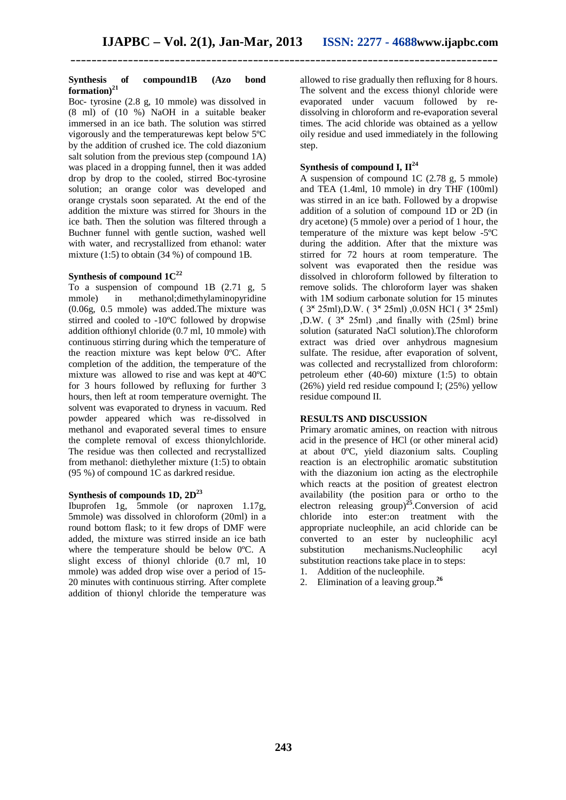#### **Synthesis of compound1B (Azo bond formation)<sup>21</sup>**

Boc- tyrosine (2.8 g, 10 mmole) was dissolved in (8 ml) of (10 %) NaOH in a suitable beaker immersed in an ice bath. The solution was stirred vigorously and the temperaturewas kept below 5ºC by the addition of crushed ice. The cold diazonium salt solution from the previous step (compound 1A) was placed in a dropping funnel, then it was added drop by drop to the cooled, stirred Boc-tyrosine solution; an orange color was developed and orange crystals soon separated. At the end of the addition the mixture was stirred for 3hours in the ice bath. Then the solution was filtered through a Buchner funnel with gentle suction, washed well with water, and recrystallized from ethanol: water mixture (1:5) to obtain (34 %) of compound 1B.

## **Synthesis of compound 1C<sup>22</sup>**

To a suspension of compound 1B (2.71 g, 5 mmole) in methanol;dimethylaminopyridine (0.06g, 0.5 mmole) was added.The mixture was stirred and cooled to -10ºC followed by dropwise addition ofthionyl chloride (0.7 ml, 10 mmole) with continuous stirring during which the temperature of the reaction mixture was kept below 0ºC. After completion of the addition, the temperature of the mixture was allowed to rise and was kept at 40ºC for 3 hours followed by refluxing for further 3 hours, then left at room temperature overnight. The solvent was evaporated to dryness in vacuum. Red powder appeared which was re-dissolved in methanol and evaporated several times to ensure the complete removal of excess thionylchloride. The residue was then collected and recrystallized from methanol: diethylether mixture (1:5) to obtain (95 %) of compound 1C as darkred residue.

## **Synthesis of compounds 1D, 2D<sup>23</sup>**

Ibuprofen 1g, 5mmole (or naproxen 1.17g, 5mmole) was dissolved in chloroform (20ml) in a round bottom flask; to it few drops of DMF were added, the mixture was stirred inside an ice bath where the temperature should be below 0ºC. A slight excess of thionyl chloride (0.7 ml, 10 mmole) was added drop wise over a period of 15- 20 minutes with continuous stirring. After complete addition of thionyl chloride the temperature was allowed to rise gradually then refluxing for 8 hours. The solvent and the excess thionyl chloride were evaporated under vacuum followed by redissolving in chloroform and re-evaporation several times. The acid chloride was obtained as a yellow oily residue and used immediately in the following step.

## **Synthesis of compound I, II<sup>24</sup>**

A suspension of compound 1C (2.78 g, 5 mmole) and TEA (1.4ml, 10 mmole) in dry THF (100ml) was stirred in an ice bath. Followed by a dropwise addition of a solution of compound 1D or 2D (in dry acetone) (5 mmole) over a period of 1 hour, the temperature of the mixture was kept below -5ºC during the addition. After that the mixture was stirred for 72 hours at room temperature. The solvent was evaporated then the residue was dissolved in chloroform followed by filteration to remove solids. The chloroform layer was shaken with 1M sodium carbonate solution for 15 minutes  $(3 \times 25 \text{ml})$ , D.W.  $(3 \times 25 \text{ml})$ , 0.05N HCl  $(3 \times 25 \text{ml})$  $,D.W.$  ( $3 \times 25$ ml) and finally with ( $25$ ml) brine solution (saturated NaCl solution).The chloroform extract was dried over anhydrous magnesium sulfate. The residue, after evaporation of solvent, was collected and recrystallized from chloroform: petroleum ether (40-60) mixture (1:5) to obtain (26%) yield red residue compound I; (25%) yellow residue compound II.

## **RESULTS AND DISCUSSION**

Primary aromatic amines, on reaction with nitrous acid in the presence of HCl (or other mineral acid) at about 0ºC, yield diazonium salts. Coupling reaction is an electrophilic aromatic substitution with the diazonium ion acting as the electrophile which reacts at the position of greatest electron availability (the position para or ortho to the electron releasing group)**<sup>25</sup>**.Conversion of acid chloride into ester:on treatment with the appropriate nucleophile, an acid chloride can be converted to an ester by nucleophilic acyl substitution mechanisms.Nucleophilic acyl substitution reactions take place in to steps:

- 1. Addition of the nucleophile.
- 2. Elimination of a leaving group.**<sup>26</sup>**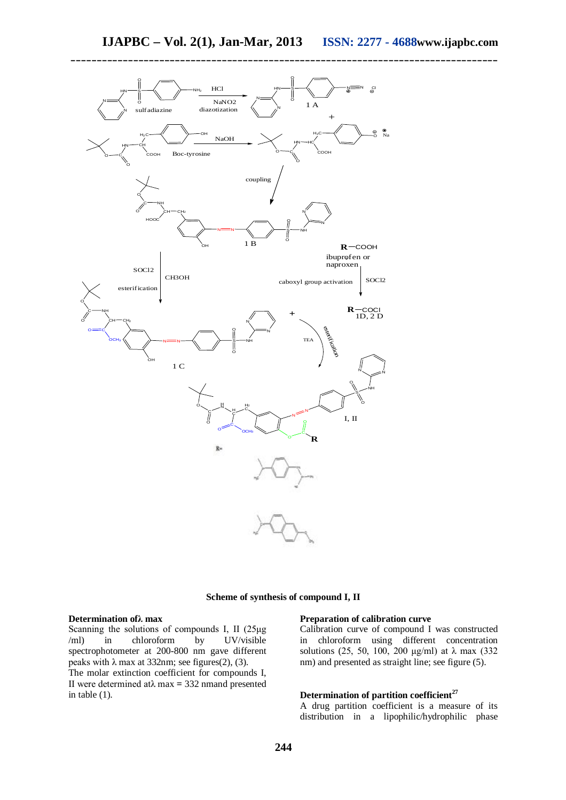

## **Scheme of synthesis of compound I, II**

#### **Determination ofλ max**

Scanning the solutions of compounds I, II (25μg /ml) in chloroform by UV/visible spectrophotometer at 200-800 nm gave different peaks with  $\lambda$  max at 332nm; see figures(2), (3). The molar extinction coefficient for compounds I, II were determined atλ max **=** 332 nmand presented in table (1).

#### **Preparation of calibration curve**

Calibration curve of compound I was constructed in chloroform using different concentration solutions (25, 50, 100, 200 μg/ml) at  $\lambda$  max (332) nm) and presented as straight line; see figure (5).

#### **Determination of partition coefficient<sup>27</sup>**

A drug partition coefficient is a measure of its distribution in a lipophilic/hydrophilic phase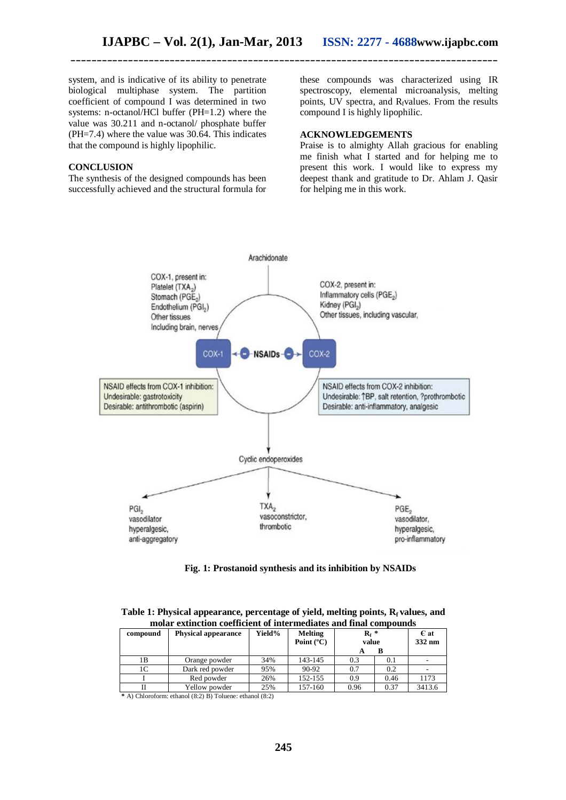system, and is indicative of its ability to penetrate biological multiphase system. The partition coefficient of compound I was determined in two systems: n-octanol/HCl buffer (PH=1.2) where the value was 30.211 and n-octanol/ phosphate buffer (PH=7.4) where the value was  $30.\overline{64}$ . This indicates that the compound is highly lipophilic.

#### **CONCLUSION**

The synthesis of the designed compounds has been successfully achieved and the structural formula for these compounds was characterized using IR spectroscopy, elemental microanalysis, melting points, UV spectra, and  $R_f$ values. From the results compound I is highly lipophilic.

## **ACKNOWLEDGEMENTS**

Praise is to almighty Allah gracious for enabling me finish what I started and for helping me to present this work. I would like to express my deepest thank and gratitude to Dr. Ahlam J. Qasir for helping me in this work.



**Fig. 1: Prostanoid synthesis and its inhibition by NSAIDs** 

| Table 1: Physical appearance, percentage of yield, melting points, $R_f$ values, and |  |
|--------------------------------------------------------------------------------------|--|
| molar extinction coefficient of intermediates and final compounds                    |  |

| compound             | <b>Physical appearance</b>                    | Yield% | <b>Melting</b><br>Point $(^{\circ}C)$ | $R_f$ *<br>value |      | $E$ at<br>332 nm |
|----------------------|-----------------------------------------------|--------|---------------------------------------|------------------|------|------------------|
|                      |                                               |        |                                       |                  | в    |                  |
| 1B                   | Orange powder                                 | 34%    | 143-145                               | 0.3              | 0.1  |                  |
| 1C                   | Dark red powder                               | 95%    | 90-92                                 | 0.7              | 0.2  |                  |
|                      | Red powder                                    | 26%    | 152-155                               | 0.9              | 0.46 | 1173             |
|                      | Yellow powder                                 | 25%    | 157-160                               | 0.96             | 0.37 | 3413.6           |
| $-4.1$ $-7.1$ $-1.1$ | $1/0.25$ The $1$<br>$\sim$ 100 $\sim$<br>- 11 | 1/0.2  |                                       |                  |      |                  |

 **\*** A) Chloroform: ethanol (8:2) B) Toluene: ethanol (8:2)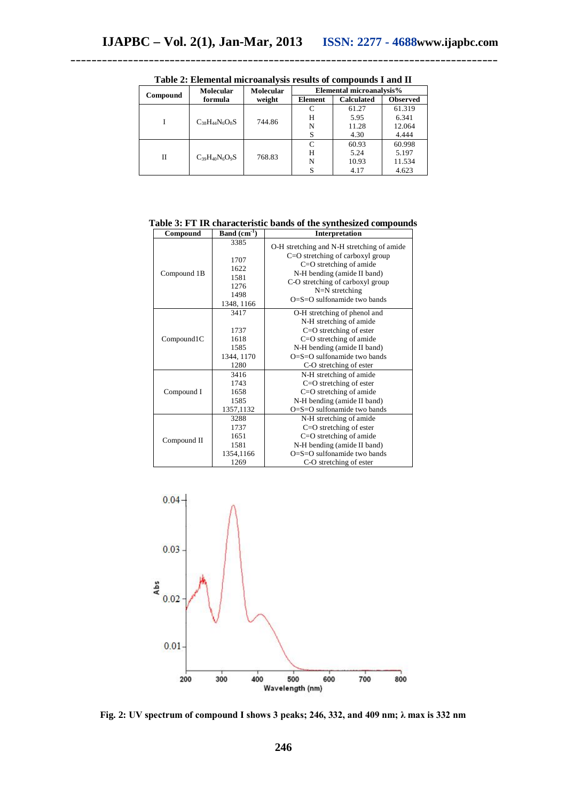| Compound | <b>Molecular</b>      | <b>Molecular</b><br>weight | Elemental microanalysis% |                   |                 |
|----------|-----------------------|----------------------------|--------------------------|-------------------|-----------------|
|          | formula               |                            | Element                  | <b>Calculated</b> | <b>Observed</b> |
|          | $C_{38}H_{44}N_6O_8S$ | 744.86                     |                          | 61.27             | 61.319          |
|          |                       |                            | н                        | 5.95              | 6.341           |
|          |                       |                            | N                        | 11.28             | 12.064          |
|          |                       |                            | S                        | 4.30              | 4.444           |
| Н        | $C_{39}H_{40}N_6O_9S$ | 768.83                     | C                        | 60.93             | 60.998          |
|          |                       |                            | Н                        | 5.24              | 5.197           |
|          |                       |                            | N                        | 10.93             | 11.534          |
|          |                       |                            | S                        | 4.17              | 4.623           |

**Table 2: Elemental microanalysis results of compounds I and II**

**Table 3: FT IR characteristic bands of the synthesized compounds**

| Compound    | <b>Band</b> $(cm^{-1})$                                    | Interpretation                                                                                                                                                                                                                          |
|-------------|------------------------------------------------------------|-----------------------------------------------------------------------------------------------------------------------------------------------------------------------------------------------------------------------------------------|
| Compound 1B | 3385<br>1707<br>1622<br>1581<br>1276<br>1498<br>1348, 1166 | O-H stretching and N-H stretching of amide<br>C=O stretching of carboxyl group<br>$C=O$ stretching of amide<br>N-H bending (amide II band)<br>C-O stretching of carboxyl group<br>$N=N$ stretching<br>$O = S = O$ sulfonamide two bands |
| Compound1C  | 3417<br>1737<br>1618<br>1585<br>1344, 1170<br>1280         | O-H stretching of phenol and<br>N-H stretching of amide<br>$C=O$ stretching of ester<br>C=O stretching of amide<br>N-H bending (amide II band)<br>$O=$ S $=$ O sulfonamide two bands<br>C-O stretching of ester                         |
| Compound I  | 3416<br>1743<br>1658<br>1585<br>1357,1132                  | N-H stretching of amide<br>$C=O$ stretching of ester<br>$C=O$ stretching of amide<br>N-H bending (amide II band)<br>$O = S = O$ sulfonamide two bands                                                                                   |
| Compound II | 3288<br>1737<br>1651<br>1581<br>1354,1166<br>1269          | N-H stretching of amide<br>$C=O$ stretching of ester<br>$C=O$ stretching of amide<br>N-H bending (amide II band)<br>$O = S = O$ sulfonamide two bands<br>C-O stretching of ester                                                        |



**Fig. 2: UV spectrum of compound I shows 3 peaks; 246, 332, and 409 nm; λ max is 332 nm**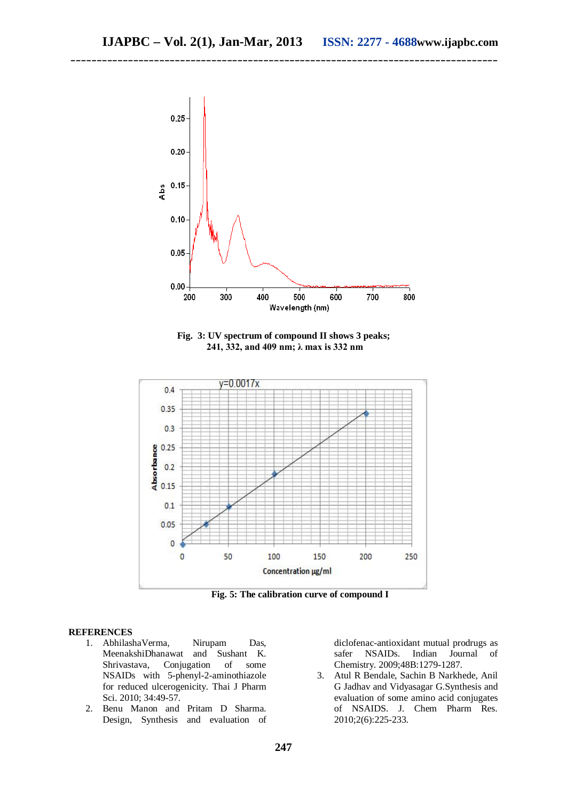

**Fig. 3: UV spectrum of compound II shows 3 peaks; 241, 332, and 409 nm; λ max is 332 nm**



**Fig. 5: The calibration curve of compound I**

#### **REFERENCES**

- 1. AbhilashaVerma, Nirupam Das,<br>MeenakshiDhanawat and Sushant K. MeenakshiDhanawat and Sushant K.<br>Shrivastava, Conjugation of some Shrivastava, Conjugation of NSAIDs with 5-phenyl-2-aminothiazole for reduced ulcerogenicity. Thai J Pharm Sci. 2010; 34:49-57.
- 2. Benu Manon and Pritam D Sharma. Design, Synthesis and evaluation of

diclofenac-antioxidant mutual prodrugs as<br>safer NSAIDs. Indian Journal of safer NSAIDs. Indian Journal of Chemistry. 2009;48B:1279-1287.

3. Atul R Bendale, Sachin B Narkhede, Anil G Jadhav and Vidyasagar G.Synthesis and evaluation of some amino acid conjugates of NSAIDS. J. Chem Pharm Res. 2010;2(6):225-233.